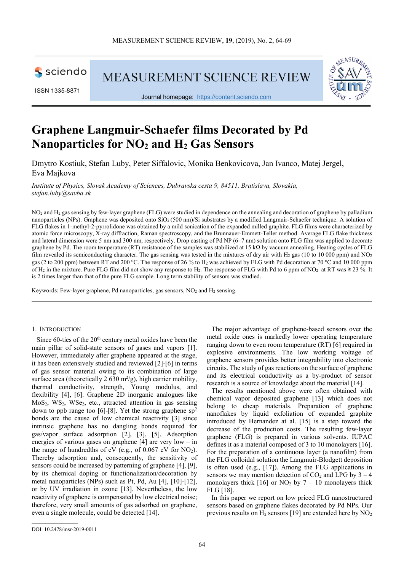

ISSN 1335-8871

**MEASUREMENT SCIENCE REVIEW** 



Journal homepage: https://content.sciendo.com

# **Graphene Langmuir-Schaefer films Decorated by Pd Nanoparticles for NO2 and H2 Gas Sensors**

Dmytro Kostiuk, Stefan Luby, Peter Siffalovic, Monika Benkovicova, Jan Ivanco, Matej Jergel, Eva Majkova

*Institute of Physics, Slovak Academy of Sciences, Dubravska cesta 9, 84511, Bratislava, Slovakia, stefan.luby@savba.sk* 

NO<sub>2</sub> and H<sub>2</sub> gas sensing by few-layer graphene (FLG) were studied in dependence on the annealing and decoration of graphene by palladium nanoparticles (NPs). Graphene was deposited onto SiO2 (500 nm)/Si substrates by a modified Langmuir-Schaefer technique. A solution of FLG flakes in 1-methyl-2-pyrrolidone was obtained by a mild sonication of the expanded milled graphite. FLG films were characterized by atomic force microscopy, X-ray diffraction, Raman spectroscopy, and the Brunnauer-Emmett-Teller method. Average FLG flake thickness and lateral dimension were 5 nm and 300 nm, respectively. Drop casting of Pd NP (6–7 nm) solution onto FLG film was applied to decorate graphene by Pd. The room temperature (RT) resistance of the samples was stabilized at 15 kΩ by vacuum annealing. Heating cycles of FLG film revealed its semiconducting character. The gas sensing was tested in the mixtures of dry air with H<sub>2</sub> gas (10 to 10 000 ppm) and NO<sub>2</sub> gas (2 to 200 ppm) between RT and 200 °C. The response of 26 % to H<sub>2</sub> was achieved by FLG with Pd decoration at 70 °C and 10 000 ppm of H<sub>2</sub> in the mixture. Pure FLG film did not show any response to H<sub>2</sub>. The response of FLG with Pd to 6 ppm of NO<sub>2</sub> at RT was  $\geq$  23 %. It is 2 times larger than that of the pure FLG sample. Long term stability of sensors was studied.

Keywords: Few-layer graphene, Pd nanoparticles, gas sensors, NO<sub>2</sub> and H<sub>2</sub> sensing.

## 1. INTRODUCTION

Since 60-ties of the 20<sup>th</sup> century metal oxides have been the main pillar of solid-state sensors of gases and vapors [1]. However, immediately after graphene appeared at the stage, it has been extensively studied and reviewed [2]-[6] in terms of gas sensor material owing to its combination of large surface area (theoretically 2 630 m<sup>2</sup>/g), high carrier mobility, thermal conductivity, strength, Young modulus, and flexibility [4], [6]. Graphene 2D inorganic analogues like MoS<sub>2</sub>, WS<sub>2</sub>, WS<sub>e<sub>2</sub>, etc., attracted attention in gas sensing</sub> down to ppb range too [6]-[8]. Yet the strong graphene  $sp<sup>2</sup>$ bonds are the cause of low chemical reactivity [3] since intrinsic graphene has no dangling bonds required for gas/vapor surface adsorption [2], [3], [5]. Adsorption energies of various gases on graphene [4] are very low – in the range of hundredths of eV (e.g., of 0.067 eV for  $NO<sub>2</sub>$ ). Thereby adsorption and, consequently, the sensitivity of sensors could be increased by patterning of graphene [4], [9], by its chemical doping or functionalization/decoration by metal nanoparticles (NPs) such as Pt, Pd, Au [4], [10]-[12], or by UV irradiation in ozone [13]. Nevertheless, the low reactivity of graphene is compensated by low electrical noise; therefore, very small amounts of gas adsorbed on graphene, even a single molecule, could be detected [14].

The major advantage of graphene-based sensors over the metal oxide ones is markedly lower operating temperature ranging down to even room temperature (RT) [6] required in explosive environments. The low working voltage of graphene sensors provides better integrability into electronic circuits. The study of gas reactions on the surface of graphene and its electrical conductivity as a by-product of sensor research is a source of knowledge about the material [14].

The results mentioned above were often obtained with chemical vapor deposited graphene [13] which does not belong to cheap materials. Preparation of graphene nanoflakes by liquid exfoliation of expanded graphite introduced by Hernandez at al. [15] is a step toward the decrease of the production costs. The resulting few-layer graphene (FLG) is prepared in various solvents. IUPAC defines it as a material composed of 3 to 10 monolayers [16]. For the preparation of a continuous layer (a nanofilm) from the FLG colloidal solution the Langmuir-Blodgett deposition is often used (e.g., [17]). Among the FLG applications in sensors we may mention detection of  $CO<sub>2</sub>$  and LPG by 3 – 4 monolayers thick  $[16]$  or NO<sub>2</sub> by  $7 - 10$  monolayers thick FLG [18].

In this paper we report on low priced FLG nanostructured sensors based on graphene flakes decorated by Pd NPs. Our previous results on  $H_2$  sensors [19] are extended here by  $NO_2$ 

DOI: 10.2478/msr-2019-0011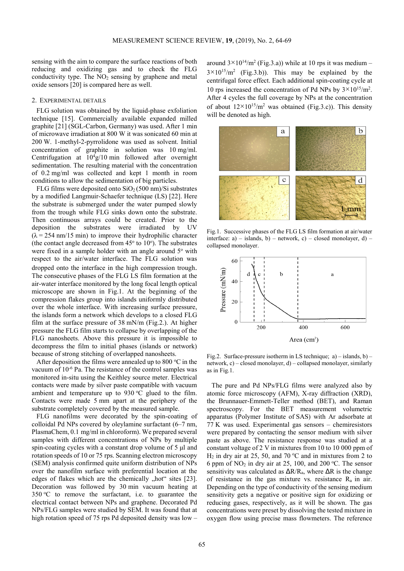sensing with the aim to compare the surface reactions of both reducing and oxidizing gas and to check the FLG conductivity type. The  $NO<sub>2</sub>$  sensing by graphene and metal oxide sensors [20] is compared here as well.

## 2. EXPERIMENTAL DETAILS

FLG solution was obtained by the liquid-phase exfoliation technique [15]. Commercially available expanded milled graphite [21] (SGL-Carbon, Germany) was used. After 1 min of microwave irradiation at 800 W it was sonicated 60 min at 200 W. 1-methyl-2-pyrrolidone was used as solvent. Initial concentration of graphite in solution was 10 mg/ml. Centrifugation at  $10^4$ g/10 min followed after overnight sedimentation. The resulting material with the concentration of 0.2 mg/ml was collected and kept 1 month in room conditions to allow the sedimentation of big particles.

FLG films were deposited onto  $SiO<sub>2</sub>(500 nm)/Si$  substrates by a modified Langmuir-Schaefer technique (LS) [22]. Here the substrate is submerged under the water pumped slowly from the trough while FLG sinks down onto the substrate. Then continuous arrays could be created. Prior to the deposition the substrates were irradiated by UV  $(\lambda = 254 \text{ nm}/15 \text{ min})$  to improve their hydrophilic character (the contact angle decreased from  $45^{\circ}$  to  $10^{\circ}$ ). The substrates were fixed in a sample holder with an angle around  $5^\circ$  with respect to the air/water interface. The FLG solution was dropped onto the interface in the high compression trough. The consecutive phases of the FLG LS film formation at the air-water interface monitored by the long focal length optical microscope are shown in Fig.1. At the beginning of the compression flakes group into islands uniformly distributed over the whole interface. With increasing surface pressure, the islands form a network which develops to a closed FLG film at the surface pressure of 38 mN/m (Fig.2.). At higher pressure the FLG film starts to collapse by overlapping of the FLG nanosheets. Above this pressure it is impossible to decompress the film to initial phases (islands or network) because of strong stitching of overlapped nanosheets.

After deposition the films were annealed up to 800  $\degree$ C in the vacuum of  $10^{-6}$  Pa. The resistance of the control samples was monitored in-situ using the Keithley source meter. Electrical contacts were made by silver paste compatible with vacuum ambient and temperature up to  $930\text{ °C}$  glued to the film. Contacts were made 5 mm apart at the periphery of the substrate completely covered by the measured sample.

FLG nanofilms were decorated by the spin-coating of colloidal Pd NPs covered by oleylamine surfactant (6–7 nm, PlasmaChem, 0.1 mg/ml in chloroform). We prepared several samples with different concentrations of NPs by multiple spin-coating cycles with a constant drop volume of 5 μl and rotation speeds of 10 or 75 rps. Scanning electron microscopy (SEM) analysis confirmed quite uniform distribution of NPs over the nanofilm surface with preferential location at the edges of flakes which are the chemically "hot" sites [23]. Decoration was followed by 30 min vacuum heating at  $350 \,^{\circ}\text{C}$  to remove the surfactant, i.e. to guarantee the electrical contact between NPs and graphene. Decorated Pd NPs/FLG samples were studied by SEM. It was found that at high rotation speed of 75 rps Pd deposited density was low –

around  $3 \times 10^{14}$ /m<sup>2</sup> (Fig.3.a)) while at 10 rps it was medium - $3 \times 10^{15}$ /m<sup>2</sup> (Fig.3.b)). This may be explained by the centrifugal force effect. Each additional spin-coating cycle at 10 rps increased the concentration of Pd NPs by  $3 \times 10^{15}$ /m<sup>2</sup>. After 4 cycles the full coverage by NPs at the concentration of about  $12 \times 10^{15}$ /m<sup>2</sup> was obtained (Fig.3.c)). This density will be denoted as high.



Fig.1. Successive phases of the FLG LS film formation at air/water interface:  $a$ ) – islands,  $b$ ) – network, c) – closed monolayer, d) – collapsed monolayer.



Fig.2. Surface-pressure isotherm in LS technique;  $a$ ) – islands, b) – network, c) – closed monolayer, d) – collapsed monolayer, similarly as in Fig.1.

The pure and Pd NPs/FLG films were analyzed also by atomic force microscopy (AFM), X-ray diffraction (XRD), the Brunnauer-Emmett-Teller method (BET), and Raman spectroscopy. For the BET measurement volumetric apparatus (Polymer Institute of SAS) with Ar adsorbate at 77 K was used. Experimental gas sensors – chemiresistors were prepared by contacting the sensor medium with silver paste as above. The resistance response was studied at a constant voltage of 2 V in mixtures from 10 to 10 000 ppm of  $H_2$  in dry air at 25, 50, and 70 °C and in mixtures from 2 to 6 ppm of  $NO<sub>2</sub>$  in dry air at 25, 100, and 200 °C. The sensor sensitivity was calculated as  $\Delta R/R_a$ , where  $\Delta R$  is the change of resistance in the gas mixture vs. resistance  $R_a$  in air. Depending on the type of conductivity of the sensing medium sensitivity gets a negative or positive sign for oxidizing or reducing gases, respectively, as it will be shown. The gas concentrations were preset by dissolving the tested mixture in oxygen flow using precise mass flowmeters. The reference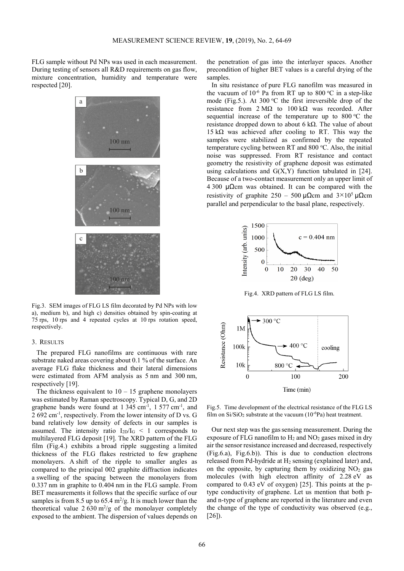FLG sample without Pd NPs was used in each measurement. During testing of sensors all R&D requirements on gas flow, mixture concentration, humidity and temperature were respected [20].



Fig.3. SEM images of FLG LS film decorated by Pd NPs with low a), medium b), and high c) densities obtained by spin-coating at 75 rps, 10 rps and 4 repeated cycles at 10 rps rotation speed, respectively.

#### 3. RESULTS

The prepared FLG nanofilms are continuous with rare substrate naked areas covering about 0.1 % of the surface. An average FLG flake thickness and their lateral dimensions were estimated from AFM analysis as 5 nm and 300 nm, respectively [19].

The thickness equivalent to  $10 - 15$  graphene monolayers was estimated by Raman spectroscopy. Typical D, G, and 2D graphene bands were found at  $1\,345 \, \text{cm}^{-1}$ ,  $1\,577 \, \text{cm}^{-1}$ , and 2 692 cm-1, respectively. From the lower intensity of D vs. G band relatively low density of defects in our samples is assumed. The intensity ratio  $I_{2D}/I_G$  < 1 corresponds to multilayered FLG deposit [19]. The XRD pattern of the FLG film (Fig.4.) exhibits a broad ripple suggesting a limited thickness of the FLG flakes restricted to few graphene monolayers. A shift of the ripple to smaller angles as compared to the principal 002 graphite diffraction indicates a swelling of the spacing between the monolayers from 0.337 nm in graphite to 0.404 nm in the FLG sample. From BET measurements it follows that the specific surface of our samples is from 8.5 up to 65.4  $\mathrm{m}^2/\mathrm{g}$ . It is much lower than the theoretical value  $2630 \text{ m}^2/\text{g}$  of the monolayer completely exposed to the ambient. The dispersion of values depends on

the penetration of gas into the interlayer spaces. Another precondition of higher BET values is a careful drying of the samples.

In situ resistance of pure FLG nanofilm was measured in the vacuum of  $10^{-6}$  Pa from RT up to 800 °C in a step-like mode (Fig.5.). At 300  $\degree$ C the first irreversible drop of the resistance from  $2 \text{ M}\Omega$  to  $100 \text{ k}\Omega$  was recorded. After sequential increase of the temperature up to  $800\degree\text{C}$  the resistance dropped down to about 6 kΩ. The value of about 15 kΩ was achieved after cooling to RT. This way the samples were stabilized as confirmed by the repeated temperature cycling between RT and 800 °C. Also, the initial noise was suppressed. From RT resistance and contact geometry the resistivity of graphene deposit was estimated using calculations and  $G(X, Y)$  function tabulated in [24]. Because of a two-contact measurement only an upper limit of 4 300 μΩcm was obtained. It can be compared with the resistivity of graphite 250 – 500 μΩcm and  $3\times10^5$  μΩcm parallel and perpendicular to the basal plane, respectively.



Fig.4. XRD pattern of FLG LS film.



Fig.5. Time development of the electrical resistance of the FLG LS film on  $Si/SiO<sub>2</sub>$  substrate at the vacuum  $(10^{-6}Pa)$  heat treatment.

Our next step was the gassensing measurement. During the exposure of FLG nanofilm to  $H_2$  and  $NO_2$  gases mixed in dry air the sensor resistance increased and decreased, respectively (Fig.6.a), Fig.6.b)). This is due to conduction electrons released from Pd-hydride at H<sub>2</sub> sensing (explained later) and, on the opposite, by capturing them by oxidizing  $NO<sub>2</sub>$  gas molecules (with high electron affinity of 2.28 eV as compared to 0.43 eV of oxygen) [25]. This points at the ptype conductivity of graphene. Let us mention that both pand n-type of graphene are reported in the literature and even the change of the type of conductivity was observed (e.g., [26]).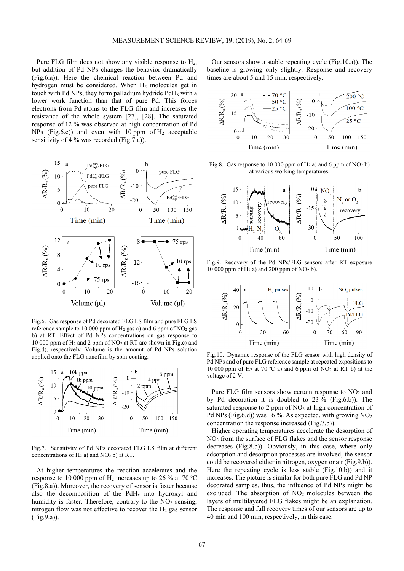Pure FLG film does not show any visible response to  $H_2$ , but addition of Pd NPs changes the behavior dramatically (Fig.6.a)). Here the chemical reaction between Pd and hydrogen must be considered. When  $H_2$  molecules get in touch with Pd NPs, they form palladium hydride  $PdH<sub>x</sub>$  with a lower work function than that of pure Pd. This forces electrons from Pd atoms to the FLG film and increases the resistance of the whole system [27], [28]. The saturated response of 12 % was observed at high concentration of Pd NPs (Fig.6.c)) and even with 10 ppm of  $H_2$  acceptable sensitivity of 4 % was recorded (Fig.7.a)).



Fig.6. Gas response of Pd decorated FLG LS film and pure FLG LS reference sample to 10 000 ppm of  $H_2$  gas a) and 6 ppm of  $NO_2$  gas b) at RT. Effect of Pd NPs concentrations on gas response to 10 000 ppm of H2 and 2 ppm of NO2 at RT are shown in Fig.c) and Fig.d), respectively. Volume is the amount of Pd NPs solution applied onto the FLG nanofilm by spin-coating.



Fig.7. Sensitivity of Pd NPs decorated FLG LS film at different concentrations of  $H_2$  a) and NO<sub>2</sub> b) at RT.

At higher temperatures the reaction accelerates and the response to 10 000 ppm of  $H_2$  increases up to 26 % at 70 °C (Fig.8.a)). Moreover, the recovery of sensor is faster because also the decomposition of the  $PdH<sub>x</sub>$  into hydroxyl and humidity is faster. Therefore, contrary to the  $NO<sub>2</sub>$  sensing, nitrogen flow was not effective to recover the  $H<sub>2</sub>$  gas sensor (Fig.9.a)).

Our sensors show a stable repeating cycle (Fig.10.a)). The baseline is growing only slightly. Response and recovery times are about 5 and 15 min, respectively.



Fig.8. Gas response to 10 000 ppm of  $H_2$  a) and 6 ppm of  $NO_2$  b) at various working temperatures.



Fig.9. Recovery of the Pd NPs/FLG sensors after RT exposure  $10\,000$  ppm of  $\text{H}_2$  a) and 200 ppm of NO<sub>2</sub> b).



Fig.10. Dynamic response of the FLG sensor with high density of Pd NPs and of pure FLG reference sample at repeated expositions to 10 000 ppm of H<sub>2</sub> at 70 °C a) and 6 ppm of NO<sub>2</sub> at RT b) at the voltage of 2 V.

Pure FLG film sensors show certain response to  $NO<sub>2</sub>$  and by Pd decoration it is doubled to 23 % (Fig.6.b)). The saturated response to 2 ppm of  $NO<sub>2</sub>$  at high concentration of Pd NPs (Fig.6.d)) was 16 %. As expected, with growing  $NO<sub>2</sub>$ concentration the response increased (Fig.7.b)).

Higher operating temperatures accelerate the desorption of NO2 from the surface of FLG flakes and the sensor response decreases (Fig.8.b)). Obviously, in this case, where only adsorption and desorption processes are involved, the sensor could be recovered either in nitrogen, oxygen or air (Fig.9.b)). Here the repeating cycle is less stable (Fig.10.b)) and it increases. The picture is similar for both pure FLG and Pd NP decorated samples, thus, the influence of Pd NPs might be excluded. The absorption of NO<sub>2</sub> molecules between the layers of multilayered FLG flakes might be an explanation. The response and full recovery times of our sensors are up to 40 min and 100 min, respectively, in this case.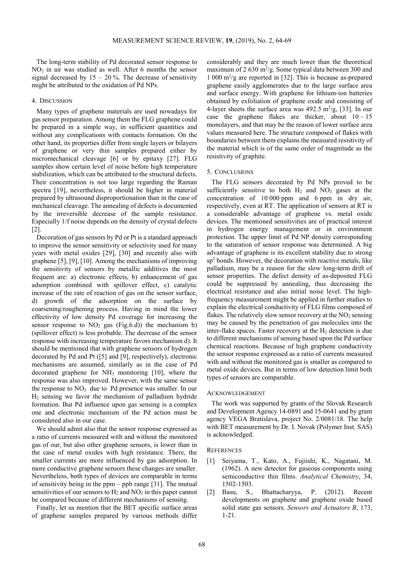The long-term stability of Pd decorated sensor response to NO2 in air was studied as well. After 6 months the sensor signal decreased by  $15 - 20$  %. The decrease of sensitivity might be attributed to the oxidation of Pd NPs.

# 4. DISCUSSION

Many types of graphene materials are used nowadays for gas sensor preparation. Among them the FLG graphene could be prepared in a simple way, in sufficient quantities and without any complications with contacts formation. On the other hand, its properties differ from single layers or bilayers of graphene or very thin samples prepared either by micromechanical cleavage [6] or by epitaxy [27]. FLG samples show certain level of noise before high temperature stabilization, which can be attributed to the structural defects. Their concentration is not too large regarding the Raman spectra [19], nevertheless, it should be higher in material prepared by ultrasound disproportionation than in the case of mechanical cleavage. The annealing of defects is documented by the irreversible decrease of the sample resistance. Especially 1/f noise depends on the density of crystal defects [2].

Decoration of gas sensors by Pd or Pt is a standard approach to improve the sensor sensitivity or selectivity used for many years with metal oxides [29], [30] and recently also with graphene [5], [9], [10]. Among the mechanisms of improving the sensitivity of sensors by metallic additives the most frequent are: a) electronic effects, b) enhancement of gas adsorption combined with spillover effect, c) catalytic increase of the rate of reaction of gas on the sensor surface, d) growth of the adsorption on the surface by coarsening/roughening process. Having in mind the lower effectivity of low density Pd coverage for increasing the sensor response to  $NO<sub>2</sub>$  gas (Fig.6.d)) the mechanism b) (spillover effect) is less probable. The decrease of the sensor response with increasing temperature favors mechanism d). It should be mentioned that with graphene sensors of hydrogen decorated by Pd and Pt ([5] and [9], respectively), electronic mechanisms are assumed, similarly as in the case of Pd decorated graphene for  $NH<sub>3</sub>$  monitoring [10], where the response was also improved. However, with the same sensor the response to  $NO<sub>2</sub>$  due to Pd presence was smaller. In our H2 sensing we favor the mechanism of palladium hydride formation. But Pd influence upon gas sensing is a complex one and electronic mechanism of the Pd action must be considered also in our case.

We should admit also that the sensor response expressed as a ratio of currents measured with and without the monitored gas of our, but also other graphene sensors, is lower than in the case of metal oxides with high resistance. There, the smaller currents are more influenced by gas adsorption. In more conductive graphene sensors these changes are smaller. Nevertheless, both types of devices are comparable in terms of sensitivity being in the ppm – ppb range [31]. The mutual sensitivities of our sensors to  $H_2$  and  $NO_2$  in this paper cannot be compared because of different mechanisms of sensing.

Finally, let us mention that the BET specific surface areas of graphene samples prepared by various methods differ considerably and they are much lower than the theoretical maximum of  $2630 \text{ m}^2/\text{g}$ . Some typical data between 300 and 1 000 m<sup>2</sup> /g are reported in [32]. This is because as-prepared graphene easily agglomerates due to the large surface area and surface energy. With graphene for lithium-ion batteries obtained by exfoliation of graphene oxide and consisting of 4-layer sheets the surface area was  $492.5 \text{ m}^2/\text{g}$ , [33]. In our case the graphene flakes are thicker, about  $10 - 15$ monolayers, and that may be the reason of lower surface area values measured here. The structure composed of flakes with boundaries between them explains the measured resistivity of the material which is of the same order of magnitude as the resistivity of graphite.

## 5. CONCLUSIONS

The FLG sensors decorated by Pd NPs proved to be sufficiently sensitive to both  $H_2$  and  $NO_2$  gases at the concentration of 10 000 ppm and 6 ppm in dry air, respectively, even at RT. The application of sensors at RT is a considerable advantage of graphene vs. metal oxide devices. The mentioned sensitivities are of practical interest in hydrogen energy management or in environment protection. The upper limit of Pd NP density corresponding to the saturation of sensor response was determined. A big advantage of graphene is its excellent stability due to strong sp<sup>2</sup> bonds. However, the decoration with reactive metals, like palladium, may be a reason for the slow long-term drift of sensor properties. The defect density of as-deposited FLG could be suppressed by annealing, thus decreasing the electrical resistance and also initial noise level. The highfrequency measurement might be applied in further studies to explain the electrical conductivity of FLG films composed of flakes. The relatively slow sensor recovery at the  $NO<sub>2</sub>$  sensing may be caused by the penetration of gas molecules into the inter-flake spaces. Faster recovery at the  $H<sub>2</sub>$  detection is due to different mechanisms of sensing based upon the Pd surface chemical reactions. Because of high graphene conductivity the sensor response expressed as a ratio of currents measured with and without the monitored gas is smaller as compared to metal oxide devices. But in terms of low detection limit both types of sensors are comparable.

### ACKNOWLEDGEMENT

The work was supported by grants of the Slovak Research and Development Agency 14-0891 and 15-0641 and by grant agency VEGA Bratislava, project No. 2/0081/18. The help with BET measurement by Dr. I. Novak (Polymer Inst. SAS) is acknowledged.

#### **REFERENCES**

- [1] Seiyama, T., Kato, A., Fujiishi, K., Nagatani, M. (1962). A new detector for gaseous components using semiconductive thin films. *Analytical Chemistry*, 34, 1502-1503.
- [2] Basu, S., Bhattacharyya, P. (2012). Recent developments on graphene and graphene oxide based solid state gas sensors. *Sensors and Actuators B*, 173, 1-21.